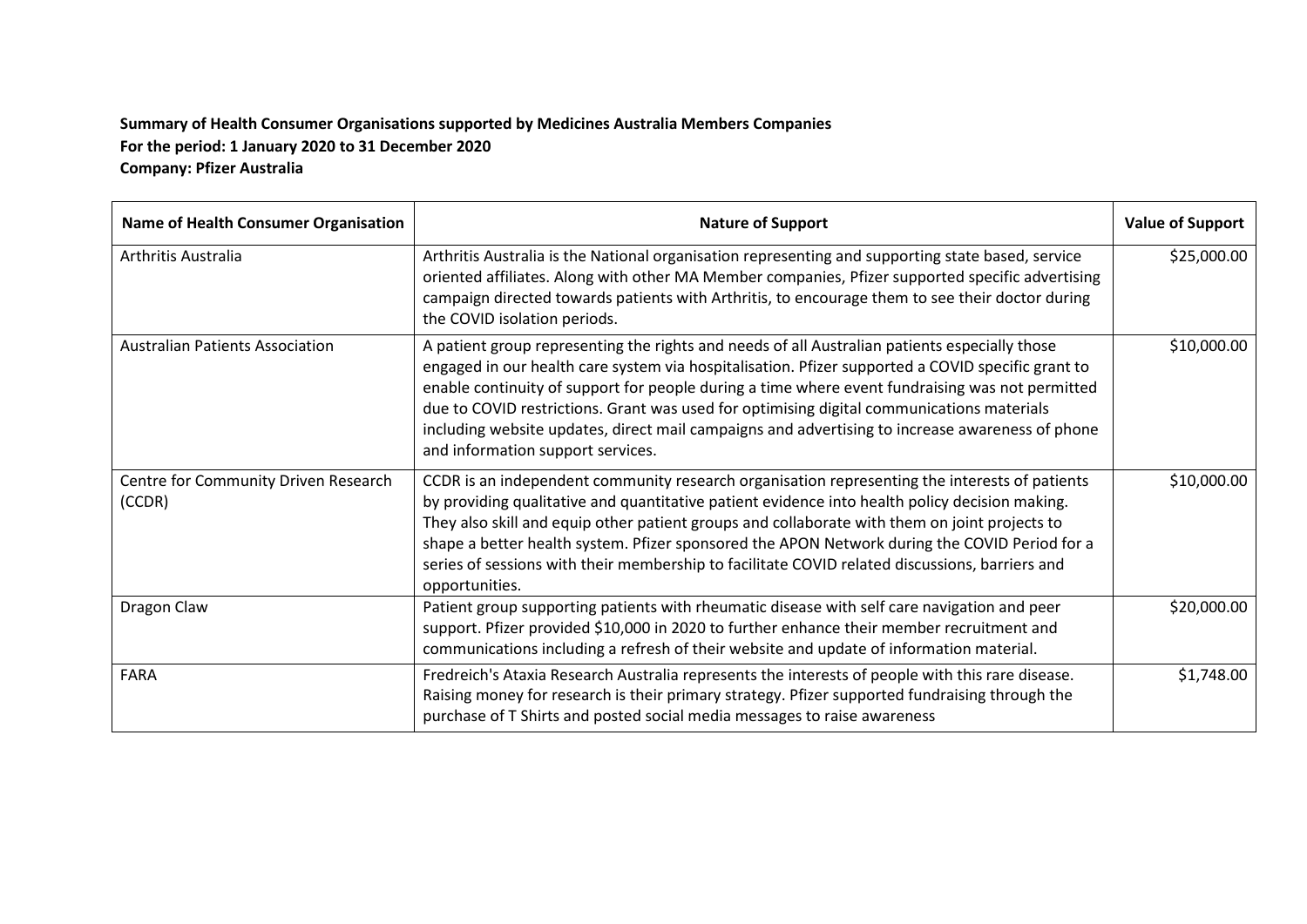## **Summary of Health Consumer Organisations supported by Medicines Australia Members Companies For the period: 1 January 2020 to 31 December 2020 Company: Pfizer Australia**

| Name of Health Consumer Organisation           | <b>Nature of Support</b>                                                                                                                                                                                                                                                                                                                                                                                                                                                                                                                   | <b>Value of Support</b> |
|------------------------------------------------|--------------------------------------------------------------------------------------------------------------------------------------------------------------------------------------------------------------------------------------------------------------------------------------------------------------------------------------------------------------------------------------------------------------------------------------------------------------------------------------------------------------------------------------------|-------------------------|
| Arthritis Australia                            | Arthritis Australia is the National organisation representing and supporting state based, service<br>oriented affiliates. Along with other MA Member companies, Pfizer supported specific advertising<br>campaign directed towards patients with Arthritis, to encourage them to see their doctor during<br>the COVID isolation periods.                                                                                                                                                                                                   | \$25,000.00             |
| <b>Australian Patients Association</b>         | A patient group representing the rights and needs of all Australian patients especially those<br>engaged in our health care system via hospitalisation. Pfizer supported a COVID specific grant to<br>enable continuity of support for people during a time where event fundraising was not permitted<br>due to COVID restrictions. Grant was used for optimising digital communications materials<br>including website updates, direct mail campaigns and advertising to increase awareness of phone<br>and information support services. | \$10,000.00             |
| Centre for Community Driven Research<br>(CCDR) | CCDR is an independent community research organisation representing the interests of patients<br>by providing qualitative and quantitative patient evidence into health policy decision making.<br>They also skill and equip other patient groups and collaborate with them on joint projects to<br>shape a better health system. Pfizer sponsored the APON Network during the COVID Period for a<br>series of sessions with their membership to facilitate COVID related discussions, barriers and<br>opportunities.                      | \$10,000.00             |
| Dragon Claw                                    | Patient group supporting patients with rheumatic disease with self care navigation and peer<br>support. Pfizer provided \$10,000 in 2020 to further enhance their member recruitment and<br>communications including a refresh of their website and update of information material.                                                                                                                                                                                                                                                        | \$20,000.00             |
| <b>FARA</b>                                    | Fredreich's Ataxia Research Australia represents the interests of people with this rare disease.<br>Raising money for research is their primary strategy. Pfizer supported fundraising through the<br>purchase of T Shirts and posted social media messages to raise awareness                                                                                                                                                                                                                                                             | \$1,748.00              |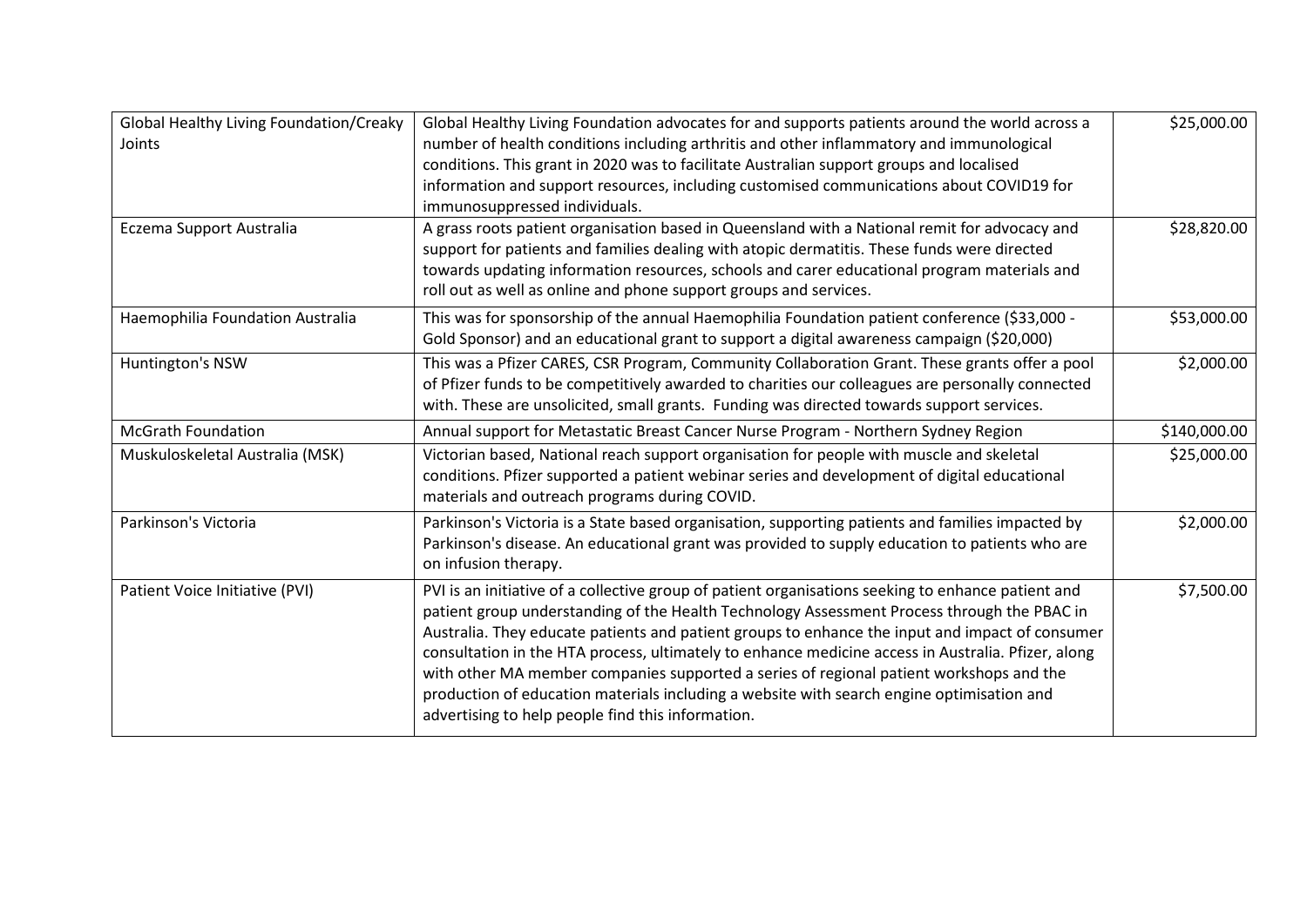| Global Healthy Living Foundation/Creaky<br>Joints | Global Healthy Living Foundation advocates for and supports patients around the world across a<br>number of health conditions including arthritis and other inflammatory and immunological<br>conditions. This grant in 2020 was to facilitate Australian support groups and localised<br>information and support resources, including customised communications about COVID19 for<br>immunosuppressed individuals.                                                                                                                                                                                                                                     | \$25,000.00  |
|---------------------------------------------------|---------------------------------------------------------------------------------------------------------------------------------------------------------------------------------------------------------------------------------------------------------------------------------------------------------------------------------------------------------------------------------------------------------------------------------------------------------------------------------------------------------------------------------------------------------------------------------------------------------------------------------------------------------|--------------|
| Eczema Support Australia                          | A grass roots patient organisation based in Queensland with a National remit for advocacy and<br>support for patients and families dealing with atopic dermatitis. These funds were directed<br>towards updating information resources, schools and carer educational program materials and<br>roll out as well as online and phone support groups and services.                                                                                                                                                                                                                                                                                        | \$28,820.00  |
| Haemophilia Foundation Australia                  | This was for sponsorship of the annual Haemophilia Foundation patient conference (\$33,000 -<br>Gold Sponsor) and an educational grant to support a digital awareness campaign (\$20,000)                                                                                                                                                                                                                                                                                                                                                                                                                                                               | \$53,000.00  |
| Huntington's NSW                                  | This was a Pfizer CARES, CSR Program, Community Collaboration Grant. These grants offer a pool<br>of Pfizer funds to be competitively awarded to charities our colleagues are personally connected<br>with. These are unsolicited, small grants. Funding was directed towards support services.                                                                                                                                                                                                                                                                                                                                                         | \$2,000.00   |
| <b>McGrath Foundation</b>                         | Annual support for Metastatic Breast Cancer Nurse Program - Northern Sydney Region                                                                                                                                                                                                                                                                                                                                                                                                                                                                                                                                                                      | \$140,000.00 |
| Muskuloskeletal Australia (MSK)                   | Victorian based, National reach support organisation for people with muscle and skeletal<br>conditions. Pfizer supported a patient webinar series and development of digital educational<br>materials and outreach programs during COVID.                                                                                                                                                                                                                                                                                                                                                                                                               | \$25,000.00  |
| Parkinson's Victoria                              | Parkinson's Victoria is a State based organisation, supporting patients and families impacted by<br>Parkinson's disease. An educational grant was provided to supply education to patients who are<br>on infusion therapy.                                                                                                                                                                                                                                                                                                                                                                                                                              | \$2,000.00   |
| Patient Voice Initiative (PVI)                    | PVI is an initiative of a collective group of patient organisations seeking to enhance patient and<br>patient group understanding of the Health Technology Assessment Process through the PBAC in<br>Australia. They educate patients and patient groups to enhance the input and impact of consumer<br>consultation in the HTA process, ultimately to enhance medicine access in Australia. Pfizer, along<br>with other MA member companies supported a series of regional patient workshops and the<br>production of education materials including a website with search engine optimisation and<br>advertising to help people find this information. | \$7,500.00   |